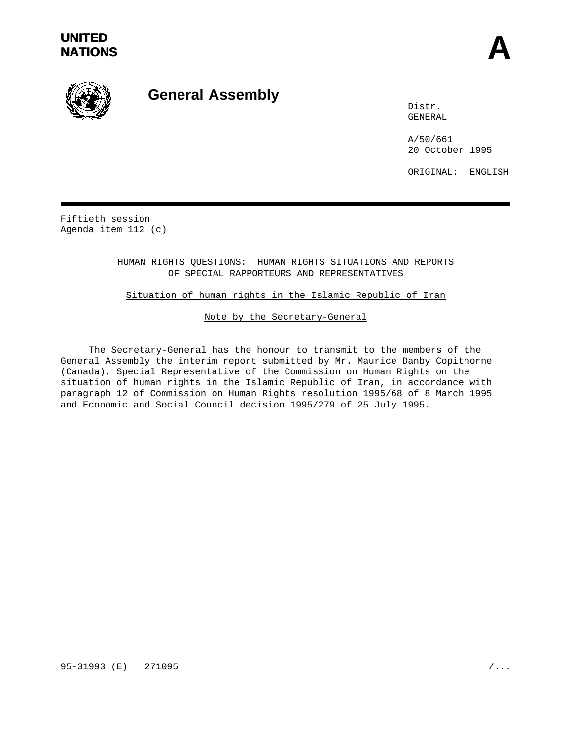

# **General Assembly**

Distr. GENERAL

A/50/661 20 October 1995

ORIGINAL: ENGLISH

Fiftieth session Agenda item 112 (c)

> HUMAN RIGHTS QUESTIONS: HUMAN RIGHTS SITUATIONS AND REPORTS OF SPECIAL RAPPORTEURS AND REPRESENTATIVES

# Situation of human rights in the Islamic Republic of Iran

## Note by the Secretary-General

The Secretary-General has the honour to transmit to the members of the General Assembly the interim report submitted by Mr. Maurice Danby Copithorne (Canada), Special Representative of the Commission on Human Rights on the situation of human rights in the Islamic Republic of Iran, in accordance with paragraph 12 of Commission on Human Rights resolution 1995/68 of 8 March 1995 and Economic and Social Council decision 1995/279 of 25 July 1995.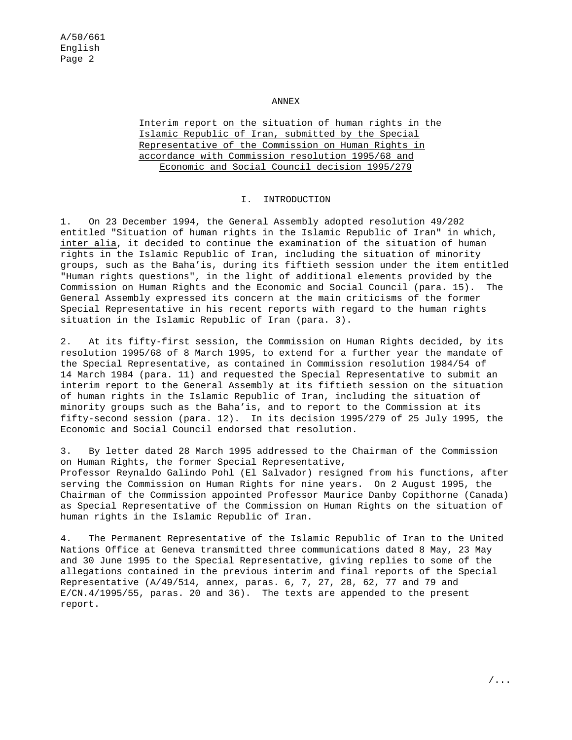#### ANNEX

Interim report on the situation of human rights in the Islamic Republic of Iran, submitted by the Special Representative of the Commission on Human Rights in accordance with Commission resolution 1995/68 and Economic and Social Council decision 1995/279

#### I. INTRODUCTION

1. On 23 December 1994, the General Assembly adopted resolution 49/202 entitled "Situation of human rights in the Islamic Republic of Iran" in which, inter alia, it decided to continue the examination of the situation of human rights in the Islamic Republic of Iran, including the situation of minority groups, such as the Baha'is, during its fiftieth session under the item entitled "Human rights questions", in the light of additional elements provided by the Commission on Human Rights and the Economic and Social Council (para. 15). The General Assembly expressed its concern at the main criticisms of the former Special Representative in his recent reports with regard to the human rights situation in the Islamic Republic of Iran (para. 3).

2. At its fifty-first session, the Commission on Human Rights decided, by its resolution 1995/68 of 8 March 1995, to extend for a further year the mandate of the Special Representative, as contained in Commission resolution 1984/54 of 14 March 1984 (para. 11) and requested the Special Representative to submit an interim report to the General Assembly at its fiftieth session on the situation of human rights in the Islamic Republic of Iran, including the situation of minority groups such as the Baha'is, and to report to the Commission at its fifty-second session (para. 12). In its decision 1995/279 of 25 July 1995, the Economic and Social Council endorsed that resolution.

3. By letter dated 28 March 1995 addressed to the Chairman of the Commission on Human Rights, the former Special Representative, Professor Reynaldo Galindo Pohl (El Salvador) resigned from his functions, after serving the Commission on Human Rights for nine years. On 2 August 1995, the Chairman of the Commission appointed Professor Maurice Danby Copithorne (Canada) as Special Representative of the Commission on Human Rights on the situation of human rights in the Islamic Republic of Iran.

4. The Permanent Representative of the Islamic Republic of Iran to the United Nations Office at Geneva transmitted three communications dated 8 May, 23 May and 30 June 1995 to the Special Representative, giving replies to some of the allegations contained in the previous interim and final reports of the Special Representative (A/49/514, annex, paras. 6, 7, 27, 28, 62, 77 and 79 and E/CN.4/1995/55, paras. 20 and 36). The texts are appended to the present report.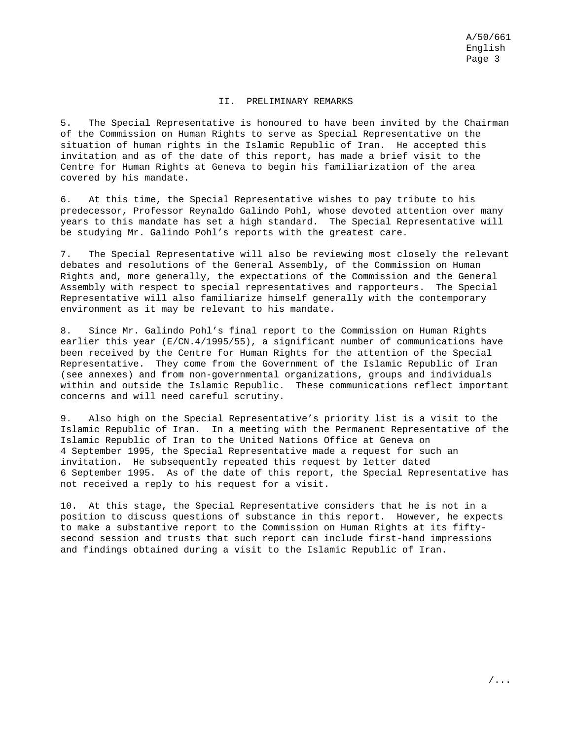### II. PRELIMINARY REMARKS

5. The Special Representative is honoured to have been invited by the Chairman of the Commission on Human Rights to serve as Special Representative on the situation of human rights in the Islamic Republic of Iran. He accepted this invitation and as of the date of this report, has made a brief visit to the Centre for Human Rights at Geneva to begin his familiarization of the area covered by his mandate.

6. At this time, the Special Representative wishes to pay tribute to his predecessor, Professor Reynaldo Galindo Pohl, whose devoted attention over many years to this mandate has set a high standard. The Special Representative will be studying Mr. Galindo Pohl's reports with the greatest care.

7. The Special Representative will also be reviewing most closely the relevant debates and resolutions of the General Assembly, of the Commission on Human Rights and, more generally, the expectations of the Commission and the General Assembly with respect to special representatives and rapporteurs. The Special Representative will also familiarize himself generally with the contemporary environment as it may be relevant to his mandate.

8. Since Mr. Galindo Pohl's final report to the Commission on Human Rights earlier this year (E/CN.4/1995/55), a significant number of communications have been received by the Centre for Human Rights for the attention of the Special Representative. They come from the Government of the Islamic Republic of Iran (see annexes) and from non-governmental organizations, groups and individuals within and outside the Islamic Republic. These communications reflect important concerns and will need careful scrutiny.

9. Also high on the Special Representative's priority list is a visit to the Islamic Republic of Iran. In a meeting with the Permanent Representative of the Islamic Republic of Iran to the United Nations Office at Geneva on 4 September 1995, the Special Representative made a request for such an invitation. He subsequently repeated this request by letter dated 6 September 1995. As of the date of this report, the Special Representative has not received a reply to his request for a visit.

10. At this stage, the Special Representative considers that he is not in a position to discuss questions of substance in this report. However, he expects to make a substantive report to the Commission on Human Rights at its fiftysecond session and trusts that such report can include first-hand impressions and findings obtained during a visit to the Islamic Republic of Iran.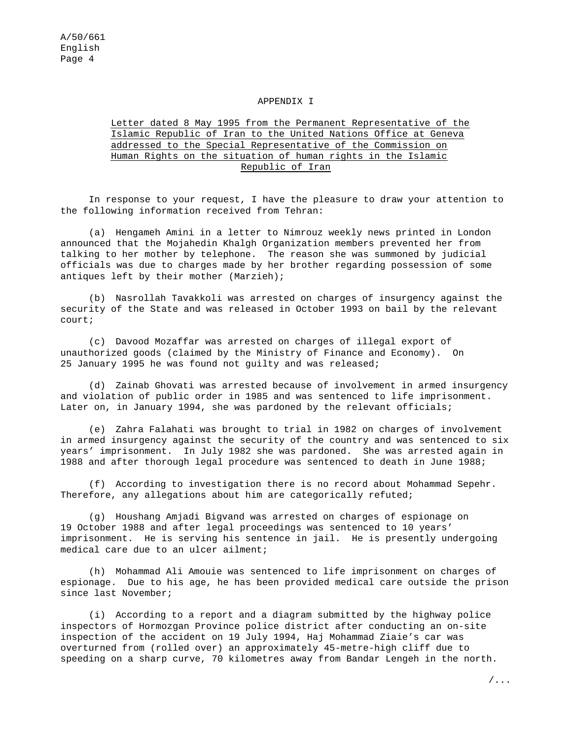#### APPENDIX I

# Letter dated 8 May 1995 from the Permanent Representative of the Islamic Republic of Iran to the United Nations Office at Geneva addressed to the Special Representative of the Commission on Human Rights on the situation of human rights in the Islamic Republic of Iran

In response to your request, I have the pleasure to draw your attention to the following information received from Tehran:

(a) Hengameh Amini in a letter to Nimrouz weekly news printed in London announced that the Mojahedin Khalgh Organization members prevented her from talking to her mother by telephone. The reason she was summoned by judicial officials was due to charges made by her brother regarding possession of some antiques left by their mother (Marzieh);

(b) Nasrollah Tavakkoli was arrested on charges of insurgency against the security of the State and was released in October 1993 on bail by the relevant court;

(c) Davood Mozaffar was arrested on charges of illegal export of unauthorized goods (claimed by the Ministry of Finance and Economy). On 25 January 1995 he was found not guilty and was released;

(d) Zainab Ghovati was arrested because of involvement in armed insurgency and violation of public order in 1985 and was sentenced to life imprisonment. Later on, in January 1994, she was pardoned by the relevant officials;

(e) Zahra Falahati was brought to trial in 1982 on charges of involvement in armed insurgency against the security of the country and was sentenced to six years' imprisonment. In July 1982 she was pardoned. She was arrested again in 1988 and after thorough legal procedure was sentenced to death in June 1988;

(f) According to investigation there is no record about Mohammad Sepehr. Therefore, any allegations about him are categorically refuted;

(g) Houshang Amjadi Bigvand was arrested on charges of espionage on 19 October 1988 and after legal proceedings was sentenced to 10 years' imprisonment. He is serving his sentence in jail. He is presently undergoing medical care due to an ulcer ailment;

(h) Mohammad Ali Amouie was sentenced to life imprisonment on charges of espionage. Due to his age, he has been provided medical care outside the prison since last November;

(i) According to a report and a diagram submitted by the highway police inspectors of Hormozgan Province police district after conducting an on-site inspection of the accident on 19 July 1994, Haj Mohammad Ziaie's car was overturned from (rolled over) an approximately 45-metre-high cliff due to speeding on a sharp curve, 70 kilometres away from Bandar Lengeh in the north.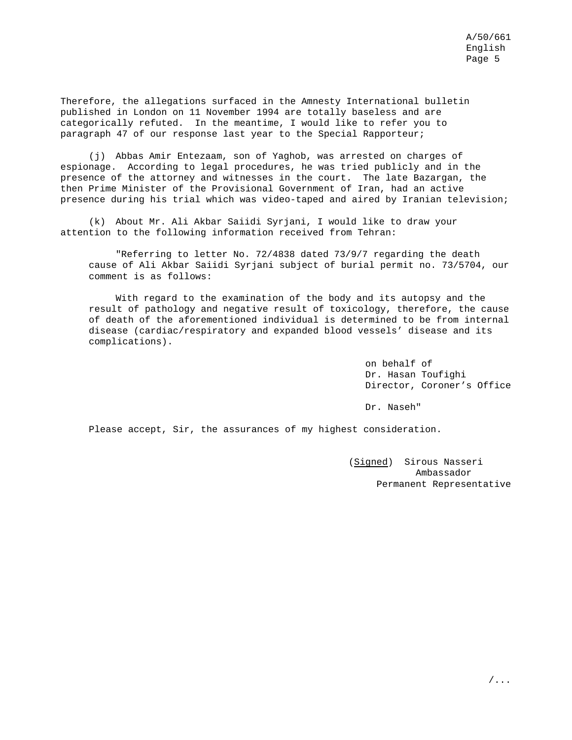Therefore, the allegations surfaced in the Amnesty International bulletin published in London on 11 November 1994 are totally baseless and are categorically refuted. In the meantime, I would like to refer you to paragraph 47 of our response last year to the Special Rapporteur;

(j) Abbas Amir Entezaam, son of Yaghob, was arrested on charges of espionage. According to legal procedures, he was tried publicly and in the presence of the attorney and witnesses in the court. The late Bazargan, the then Prime Minister of the Provisional Government of Iran, had an active presence during his trial which was video-taped and aired by Iranian television;

(k) About Mr. Ali Akbar Saiidi Syrjani, I would like to draw your attention to the following information received from Tehran:

"Referring to letter No. 72/4838 dated 73/9/7 regarding the death cause of Ali Akbar Saiidi Syrjani subject of burial permit no. 73/5704, our comment is as follows:

With regard to the examination of the body and its autopsy and the result of pathology and negative result of toxicology, therefore, the cause of death of the aforementioned individual is determined to be from internal disease (cardiac/respiratory and expanded blood vessels' disease and its complications).

> on behalf of Dr. Hasan Toufighi Director, Coroner's Office

Dr. Naseh"

Please accept, Sir, the assurances of my highest consideration.

(Signed) Sirous Nasseri Ambassador Permanent Representative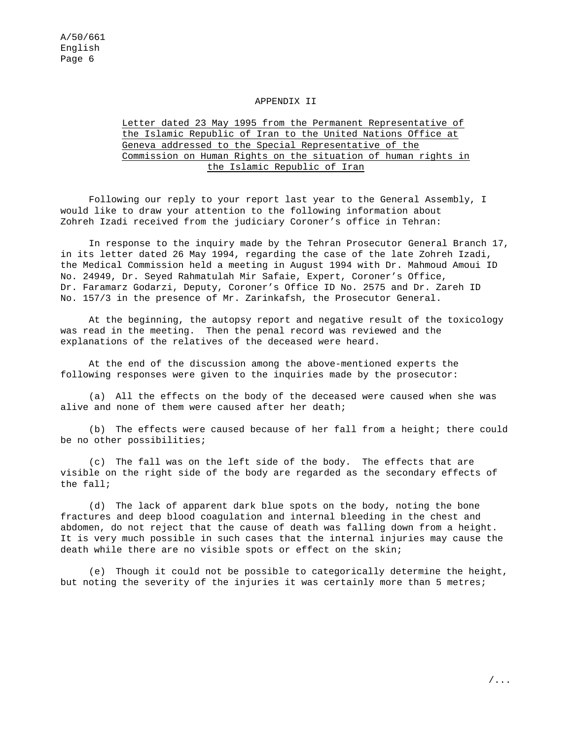#### APPENDIX II

# Letter dated 23 May 1995 from the Permanent Representative of the Islamic Republic of Iran to the United Nations Office at Geneva addressed to the Special Representative of the Commission on Human Rights on the situation of human rights in the Islamic Republic of Iran

Following our reply to your report last year to the General Assembly, I would like to draw your attention to the following information about Zohreh Izadi received from the judiciary Coroner's office in Tehran:

In response to the inquiry made by the Tehran Prosecutor General Branch 17, in its letter dated 26 May 1994, regarding the case of the late Zohreh Izadi, the Medical Commission held a meeting in August 1994 with Dr. Mahmoud Amoui ID No. 24949, Dr. Seyed Rahmatulah Mir Safaie, Expert, Coroner's Office, Dr. Faramarz Godarzi, Deputy, Coroner's Office ID No. 2575 and Dr. Zareh ID No. 157/3 in the presence of Mr. Zarinkafsh, the Prosecutor General.

At the beginning, the autopsy report and negative result of the toxicology was read in the meeting. Then the penal record was reviewed and the explanations of the relatives of the deceased were heard.

At the end of the discussion among the above-mentioned experts the following responses were given to the inquiries made by the prosecutor:

(a) All the effects on the body of the deceased were caused when she was alive and none of them were caused after her death;

(b) The effects were caused because of her fall from a height; there could be no other possibilities;

(c) The fall was on the left side of the body. The effects that are visible on the right side of the body are regarded as the secondary effects of the fall;

(d) The lack of apparent dark blue spots on the body, noting the bone fractures and deep blood coagulation and internal bleeding in the chest and abdomen, do not reject that the cause of death was falling down from a height. It is very much possible in such cases that the internal injuries may cause the death while there are no visible spots or effect on the skin;

(e) Though it could not be possible to categorically determine the height, but noting the severity of the injuries it was certainly more than 5 metres;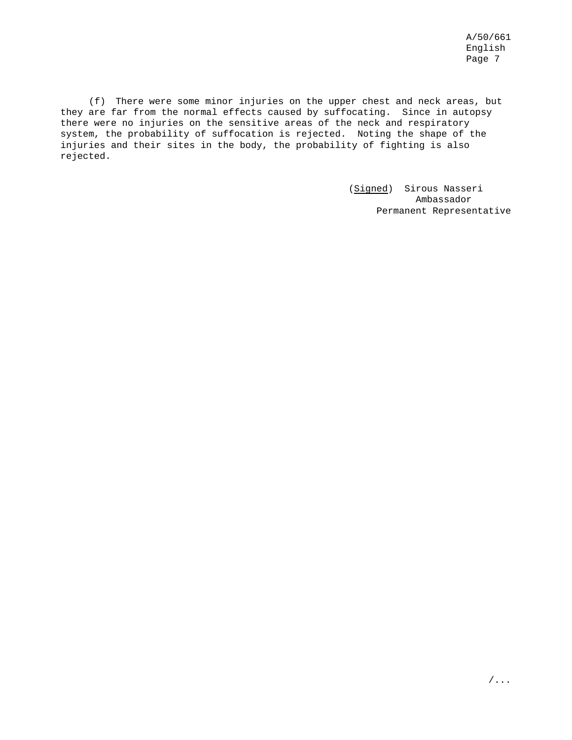(f) There were some minor injuries on the upper chest and neck areas, but they are far from the normal effects caused by suffocating. Since in autopsy there were no injuries on the sensitive areas of the neck and respiratory system, the probability of suffocation is rejected. Noting the shape of the injuries and their sites in the body, the probability of fighting is also rejected.

> (Signed) Sirous Nasseri Ambassador Permanent Representative